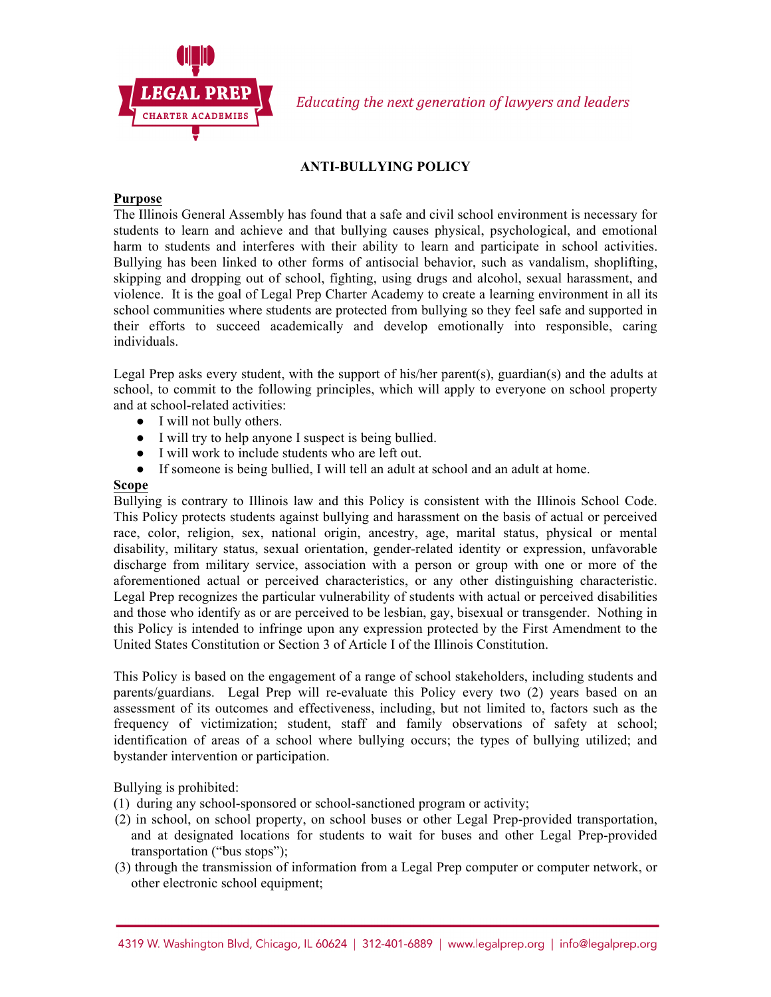

# **ANTI-BULLYING POLICY**

# **Purpose**

The Illinois General Assembly has found that a safe and civil school environment is necessary for students to learn and achieve and that bullying causes physical, psychological, and emotional harm to students and interferes with their ability to learn and participate in school activities. Bullying has been linked to other forms of antisocial behavior, such as vandalism, shoplifting, skipping and dropping out of school, fighting, using drugs and alcohol, sexual harassment, and violence. It is the goal of Legal Prep Charter Academy to create a learning environment in all its school communities where students are protected from bullying so they feel safe and supported in their efforts to succeed academically and develop emotionally into responsible, caring individuals.

Legal Prep asks every student, with the support of his/her parent(s), guardian(s) and the adults at school, to commit to the following principles, which will apply to everyone on school property and at school-related activities:

- I will not bully others.
- I will try to help anyone I suspect is being bullied.
- I will work to include students who are left out.
- If someone is being bullied, I will tell an adult at school and an adult at home.

### **Scope**

Bullying is contrary to Illinois law and this Policy is consistent with the Illinois School Code. This Policy protects students against bullying and harassment on the basis of actual or perceived race, color, religion, sex, national origin, ancestry, age, marital status, physical or mental disability, military status, sexual orientation, gender-related identity or expression, unfavorable discharge from military service, association with a person or group with one or more of the aforementioned actual or perceived characteristics, or any other distinguishing characteristic. Legal Prep recognizes the particular vulnerability of students with actual or perceived disabilities and those who identify as or are perceived to be lesbian, gay, bisexual or transgender. Nothing in this Policy is intended to infringe upon any expression protected by the First Amendment to the United States Constitution or Section 3 of Article I of the Illinois Constitution.

This Policy is based on the engagement of a range of school stakeholders, including students and parents/guardians. Legal Prep will re-evaluate this Policy every two (2) years based on an assessment of its outcomes and effectiveness, including, but not limited to, factors such as the frequency of victimization; student, staff and family observations of safety at school; identification of areas of a school where bullying occurs; the types of bullying utilized; and bystander intervention or participation.

Bullying is prohibited:

- (1) during any school-sponsored or school-sanctioned program or activity;
- (2) in school, on school property, on school buses or other Legal Prep-provided transportation, and at designated locations for students to wait for buses and other Legal Prep-provided transportation ("bus stops");
- (3) through the transmission of information from a Legal Prep computer or computer network, or other electronic school equipment;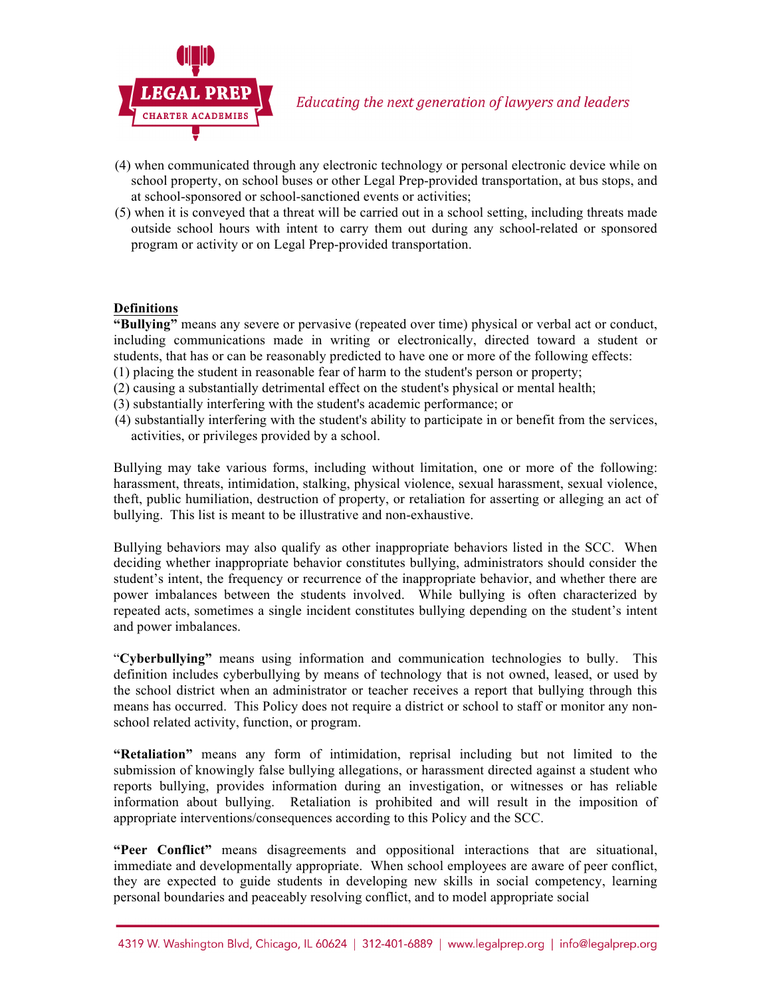

- (4) when communicated through any electronic technology or personal electronic device while on school property, on school buses or other Legal Prep-provided transportation, at bus stops, and at school-sponsored or school-sanctioned events or activities;
- (5) when it is conveyed that a threat will be carried out in a school setting, including threats made outside school hours with intent to carry them out during any school-related or sponsored program or activity or on Legal Prep-provided transportation.

# **Definitions**

**"Bullying"** means any severe or pervasive (repeated over time) physical or verbal act or conduct, including communications made in writing or electronically, directed toward a student or students, that has or can be reasonably predicted to have one or more of the following effects:

- (1) placing the student in reasonable fear of harm to the student's person or property;
- (2) causing a substantially detrimental effect on the student's physical or mental health;
- (3) substantially interfering with the student's academic performance; or
- (4) substantially interfering with the student's ability to participate in or benefit from the services, activities, or privileges provided by a school.

Bullying may take various forms, including without limitation, one or more of the following: harassment, threats, intimidation, stalking, physical violence, sexual harassment, sexual violence, theft, public humiliation, destruction of property, or retaliation for asserting or alleging an act of bullying. This list is meant to be illustrative and non-exhaustive.

Bullying behaviors may also qualify as other inappropriate behaviors listed in the SCC. When deciding whether inappropriate behavior constitutes bullying, administrators should consider the student's intent, the frequency or recurrence of the inappropriate behavior, and whether there are power imbalances between the students involved. While bullying is often characterized by repeated acts, sometimes a single incident constitutes bullying depending on the student's intent and power imbalances.

"**Cyberbullying"** means using information and communication technologies to bully. This definition includes cyberbullying by means of technology that is not owned, leased, or used by the school district when an administrator or teacher receives a report that bullying through this means has occurred. This Policy does not require a district or school to staff or monitor any nonschool related activity, function, or program.

**"Retaliation"** means any form of intimidation, reprisal including but not limited to the submission of knowingly false bullying allegations, or harassment directed against a student who reports bullying, provides information during an investigation, or witnesses or has reliable information about bullying. Retaliation is prohibited and will result in the imposition of appropriate interventions/consequences according to this Policy and the SCC.

**"Peer Conflict"** means disagreements and oppositional interactions that are situational, immediate and developmentally appropriate. When school employees are aware of peer conflict, they are expected to guide students in developing new skills in social competency, learning personal boundaries and peaceably resolving conflict, and to model appropriate social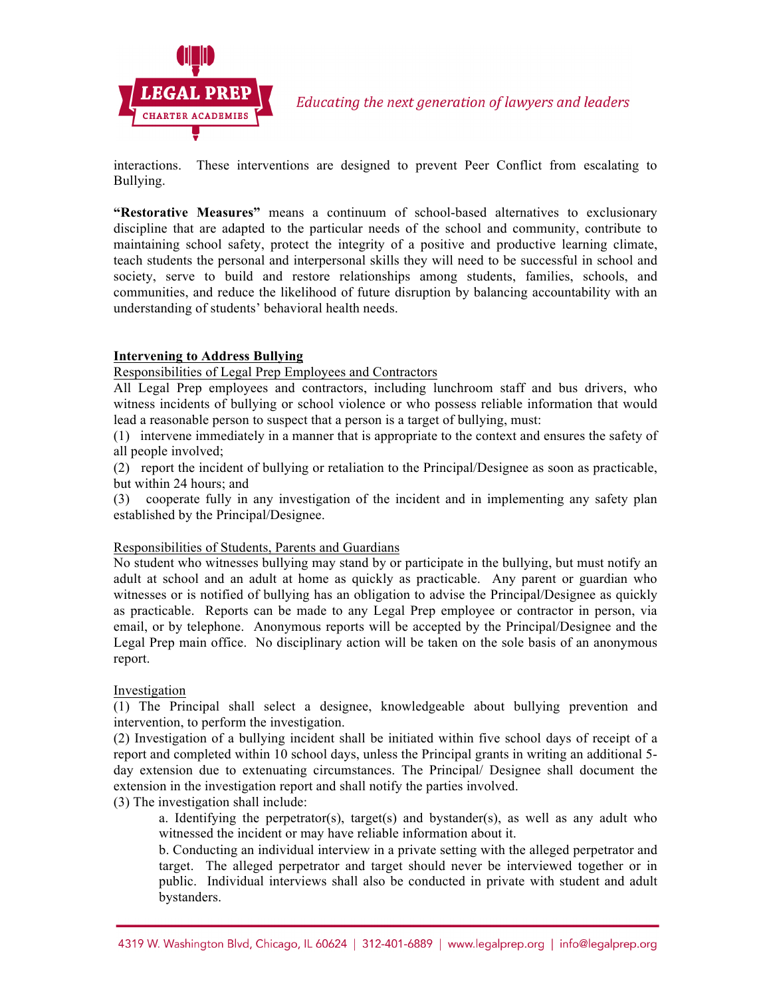

interactions. These interventions are designed to prevent Peer Conflict from escalating to Bullying.

**"Restorative Measures"** means a continuum of school-based alternatives to exclusionary discipline that are adapted to the particular needs of the school and community, contribute to maintaining school safety, protect the integrity of a positive and productive learning climate, teach students the personal and interpersonal skills they will need to be successful in school and society, serve to build and restore relationships among students, families, schools, and communities, and reduce the likelihood of future disruption by balancing accountability with an understanding of students' behavioral health needs.

# **Intervening to Address Bullying**

### Responsibilities of Legal Prep Employees and Contractors

All Legal Prep employees and contractors, including lunchroom staff and bus drivers, who witness incidents of bullying or school violence or who possess reliable information that would lead a reasonable person to suspect that a person is a target of bullying, must:

(1) intervene immediately in a manner that is appropriate to the context and ensures the safety of all people involved;

(2) report the incident of bullying or retaliation to the Principal/Designee as soon as practicable, but within 24 hours; and

(3) cooperate fully in any investigation of the incident and in implementing any safety plan established by the Principal/Designee.

### Responsibilities of Students, Parents and Guardians

No student who witnesses bullying may stand by or participate in the bullying, but must notify an adult at school and an adult at home as quickly as practicable. Any parent or guardian who witnesses or is notified of bullying has an obligation to advise the Principal/Designee as quickly as practicable. Reports can be made to any Legal Prep employee or contractor in person, via email, or by telephone. Anonymous reports will be accepted by the Principal/Designee and the Legal Prep main office. No disciplinary action will be taken on the sole basis of an anonymous report.

### Investigation

(1) The Principal shall select a designee, knowledgeable about bullying prevention and intervention, to perform the investigation.

(2) Investigation of a bullying incident shall be initiated within five school days of receipt of a report and completed within 10 school days, unless the Principal grants in writing an additional 5 day extension due to extenuating circumstances. The Principal/ Designee shall document the extension in the investigation report and shall notify the parties involved.

(3) The investigation shall include:

a. Identifying the perpetrator(s), target(s) and bystander(s), as well as any adult who witnessed the incident or may have reliable information about it.

b. Conducting an individual interview in a private setting with the alleged perpetrator and target. The alleged perpetrator and target should never be interviewed together or in public. Individual interviews shall also be conducted in private with student and adult bystanders.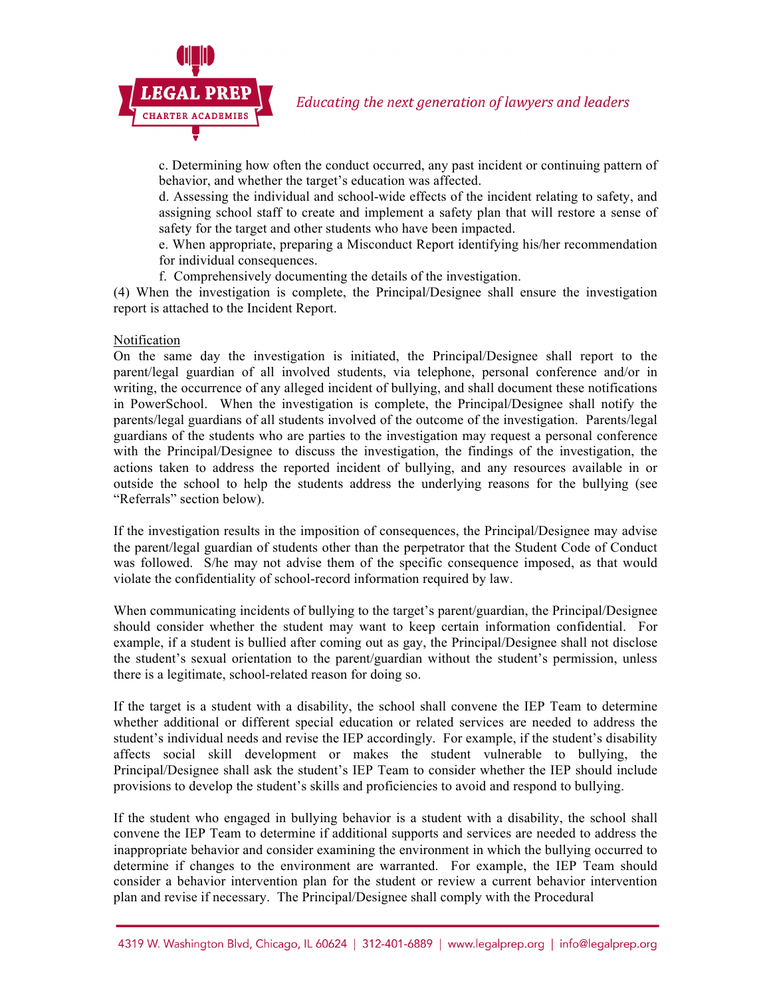

c. Determining how often the conduct occurred, any past incident or continuing pattern of behavior, and whether the target's education was affected.

d. Assessing the individual and school-wide effects of the incident relating to safety, and assigning school staff to create and implement a safety plan that will restore a sense of safety for the target and other students who have been impacted.

e. When appropriate, preparing a Misconduct Report identifying his/her recommendation for individual consequences.

f. Comprehensively documenting the details of the investigation.

(4) When the investigation is complete, the Principal/Designee shall ensure the investigation report is attached to the Incident Report.

### Notification

On the same day the investigation is initiated, the Principal/Designee shall report to the parent/legal guardian of all involved students, via telephone, personal conference and/or in writing, the occurrence of any alleged incident of bullying, and shall document these notifications in PowerSchool. When the investigation is complete, the Principal/Designee shall notify the parents/legal guardians of all students involved of the outcome of the investigation. Parents/legal guardians of the students who are parties to the investigation may request a personal conference with the Principal/Designee to discuss the investigation, the findings of the investigation, the actions taken to address the reported incident of bullying, and any resources available in or outside the school to help the students address the underlying reasons for the bullying (see "Referrals" section below).

If the investigation results in the imposition of consequences, the Principal/Designee may advise the parent/legal guardian of students other than the perpetrator that the Student Code of Conduct was followed. S/he may not advise them of the specific consequence imposed, as that would violate the confidentiality of school-record information required by law.

When communicating incidents of bullying to the target's parent/guardian, the Principal/Designee should consider whether the student may want to keep certain information confidential. For example, if a student is bullied after coming out as gay, the Principal/Designee shall not disclose the student's sexual orientation to the parent/guardian without the student's permission, unless there is a legitimate, school-related reason for doing so.

If the target is a student with a disability, the school shall convene the IEP Team to determine whether additional or different special education or related services are needed to address the student's individual needs and revise the IEP accordingly. For example, if the student's disability affects social skill development or makes the student vulnerable to bullying, the Principal/Designee shall ask the student's IEP Team to consider whether the IEP should include provisions to develop the student's skills and proficiencies to avoid and respond to bullying.

If the student who engaged in bullying behavior is a student with a disability, the school shall convene the IEP Team to determine if additional supports and services are needed to address the inappropriate behavior and consider examining the environment in which the bullying occurred to determine if changes to the environment are warranted. For example, the IEP Team should consider a behavior intervention plan for the student or review a current behavior intervention plan and revise if necessary. The Principal/Designee shall comply with the Procedural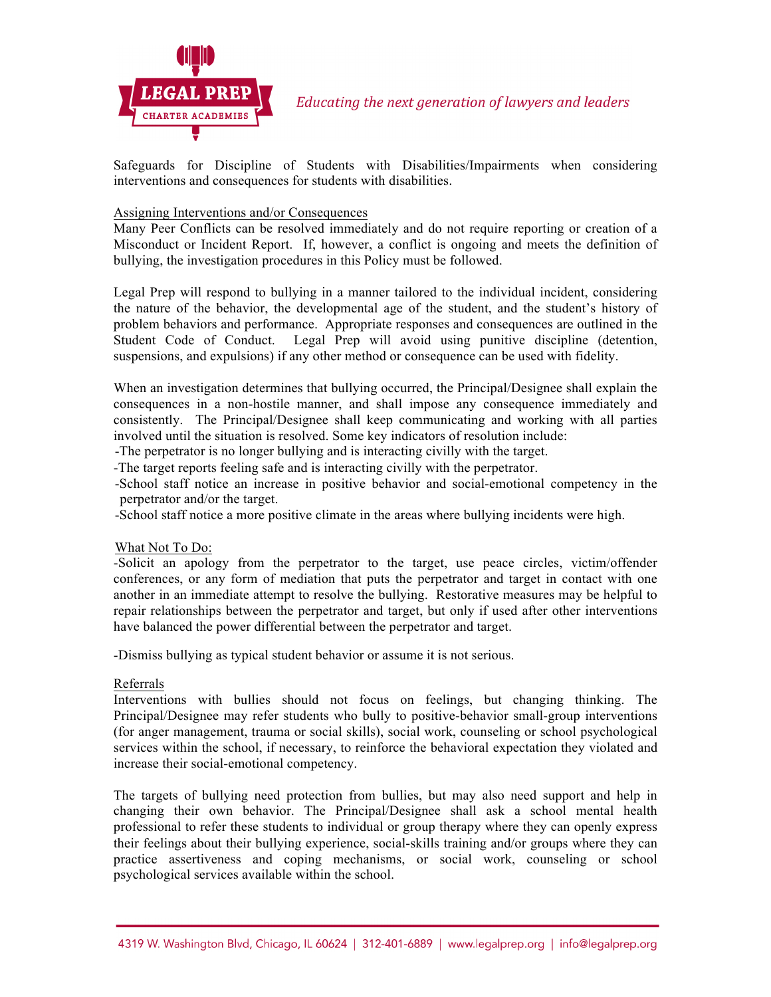

Safeguards for Discipline of Students with Disabilities/Impairments when considering interventions and consequences for students with disabilities.

#### Assigning Interventions and/or Consequences

Many Peer Conflicts can be resolved immediately and do not require reporting or creation of a Misconduct or Incident Report. If, however, a conflict is ongoing and meets the definition of bullying, the investigation procedures in this Policy must be followed.

Legal Prep will respond to bullying in a manner tailored to the individual incident, considering the nature of the behavior, the developmental age of the student, and the student's history of problem behaviors and performance. Appropriate responses and consequences are outlined in the Student Code of Conduct. Legal Prep will avoid using punitive discipline (detention, suspensions, and expulsions) if any other method or consequence can be used with fidelity.

When an investigation determines that bullying occurred, the Principal/Designee shall explain the consequences in a non-hostile manner, and shall impose any consequence immediately and consistently. The Principal/Designee shall keep communicating and working with all parties involved until the situation is resolved. Some key indicators of resolution include:

-The perpetrator is no longer bullying and is interacting civilly with the target.

-The target reports feeling safe and is interacting civilly with the perpetrator.

-School staff notice an increase in positive behavior and social-emotional competency in the perpetrator and/or the target.

-School staff notice a more positive climate in the areas where bullying incidents were high.

#### What Not To Do:

-Solicit an apology from the perpetrator to the target, use peace circles, victim/offender conferences, or any form of mediation that puts the perpetrator and target in contact with one another in an immediate attempt to resolve the bullying. Restorative measures may be helpful to repair relationships between the perpetrator and target, but only if used after other interventions have balanced the power differential between the perpetrator and target.

-Dismiss bullying as typical student behavior or assume it is not serious.

### Referrals

Interventions with bullies should not focus on feelings, but changing thinking. The Principal/Designee may refer students who bully to positive-behavior small-group interventions (for anger management, trauma or social skills), social work, counseling or school psychological services within the school, if necessary, to reinforce the behavioral expectation they violated and increase their social-emotional competency.

The targets of bullying need protection from bullies, but may also need support and help in changing their own behavior. The Principal/Designee shall ask a school mental health professional to refer these students to individual or group therapy where they can openly express their feelings about their bullying experience, social-skills training and/or groups where they can practice assertiveness and coping mechanisms, or social work, counseling or school psychological services available within the school.